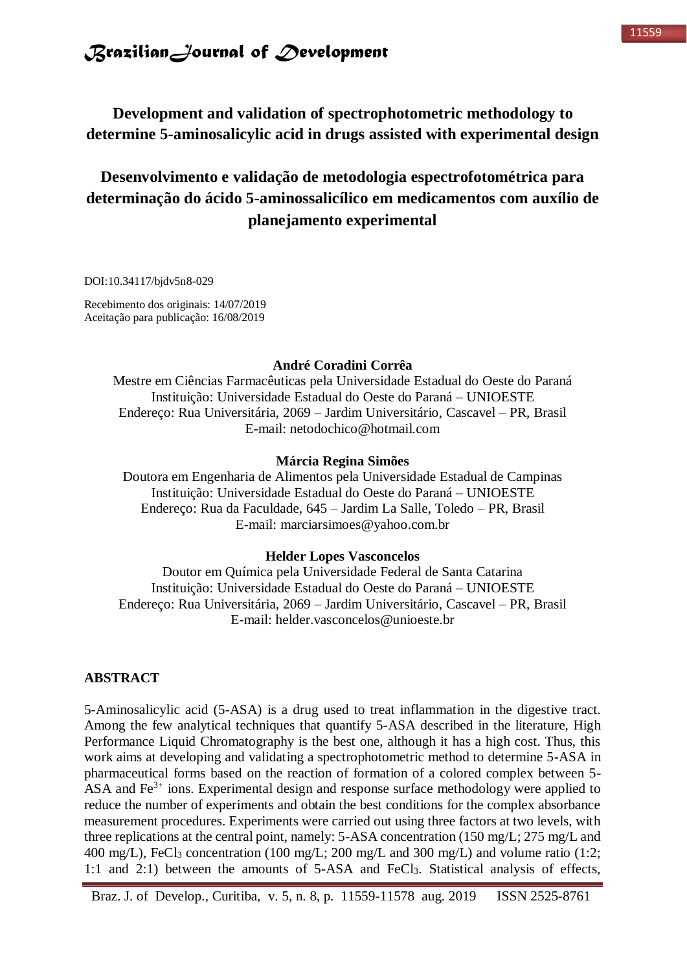### **Development and validation of spectrophotometric methodology to determine 5-aminosalicylic acid in drugs assisted with experimental design**

# **Desenvolvimento e validação de metodologia espectrofotométrica para determinação do ácido 5-aminossalicílico em medicamentos com auxílio de planejamento experimental**

DOI:10.34117/bjdv5n8-029

Recebimento dos originais: 14/07/2019 Aceitação para publicação: 16/08/2019

#### **André Coradini Corrêa**

Mestre em Ciências Farmacêuticas pela Universidade Estadual do Oeste do Paraná Instituição: Universidade Estadual do Oeste do Paraná – UNIOESTE Endereço: Rua Universitária, 2069 – Jardim Universitário, Cascavel – PR, Brasil E-mail: netodochico@hotmail.com

### **Márcia Regina Simões**

Doutora em Engenharia de Alimentos pela Universidade Estadual de Campinas Instituição: Universidade Estadual do Oeste do Paraná – UNIOESTE Endereço: Rua da Faculdade, 645 – Jardim La Salle, Toledo – PR, Brasil E-mail: marciarsimoes@yahoo.com.br

#### **Helder Lopes Vasconcelos**

Doutor em Química pela Universidade Federal de Santa Catarina Instituição: Universidade Estadual do Oeste do Paraná – UNIOESTE Endereço: Rua Universitária, 2069 – Jardim Universitário, Cascavel – PR, Brasil E-mail: helder.vasconcelos@unioeste.br

### **ABSTRACT**

5-Aminosalicylic acid (5-ASA) is a drug used to treat inflammation in the digestive tract. Among the few analytical techniques that quantify 5-ASA described in the literature, High Performance Liquid Chromatography is the best one, although it has a high cost. Thus, this work aims at developing and validating a spectrophotometric method to determine 5-ASA in pharmaceutical forms based on the reaction of formation of a colored complex between 5- ASA and  $Fe<sup>3+</sup>$  ions. Experimental design and response surface methodology were applied to reduce the number of experiments and obtain the best conditions for the complex absorbance measurement procedures. Experiments were carried out using three factors at two levels, with three replications at the central point, namely: 5-ASA concentration (150 mg/L; 275 mg/L and 400 mg/L), FeCl<sub>3</sub> concentration (100 mg/L; 200 mg/L and 300 mg/L) and volume ratio (1:2; 1:1 and 2:1) between the amounts of 5-ASA and FeCl3. Statistical analysis of effects,

Braz. J. of Develop., Curitiba, v. 5, n. 8, p. 11559-11578 aug. 2019 ISSN 2525-8761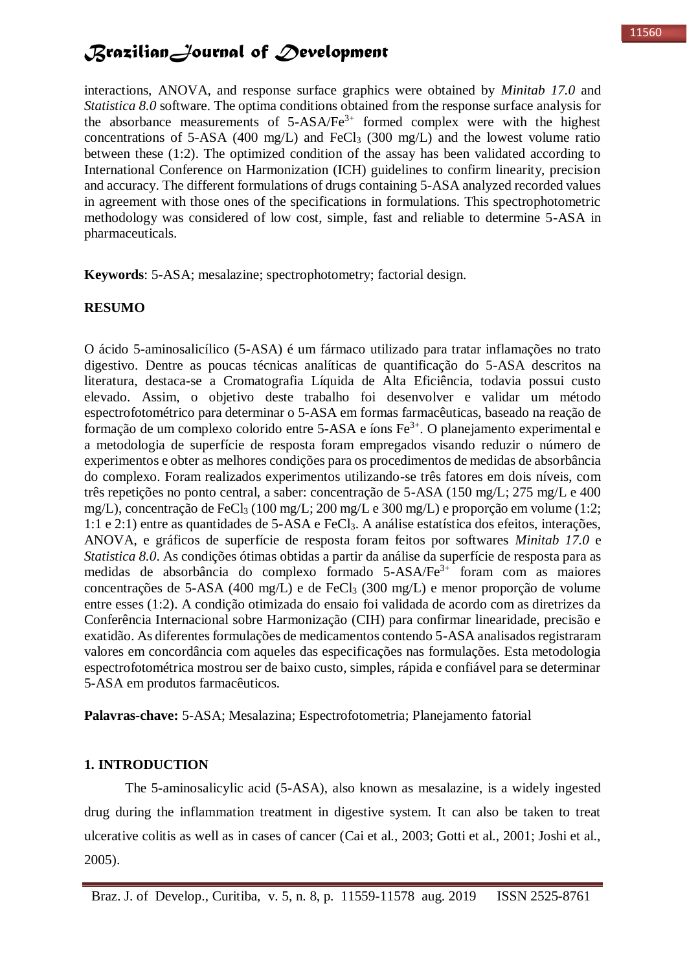interactions, ANOVA, and response surface graphics were obtained by *Minitab 17.0* and *Statistica 8.0* software. The optima conditions obtained from the response surface analysis for the absorbance measurements of  $5-ASA/Fe^{3+}$  formed complex were with the highest concentrations of 5-ASA (400 mg/L) and FeCl<sub>3</sub> (300 mg/L) and the lowest volume ratio between these (1:2). The optimized condition of the assay has been validated according to International Conference on Harmonization (ICH) guidelines to confirm linearity, precision and accuracy. The different formulations of drugs containing 5-ASA analyzed recorded values in agreement with those ones of the specifications in formulations. This spectrophotometric methodology was considered of low cost, simple, fast and reliable to determine 5-ASA in pharmaceuticals.

**Keywords**: 5-ASA; mesalazine; spectrophotometry; factorial design.

#### **RESUMO**

O ácido 5-aminosalicílico (5-ASA) é um fármaco utilizado para tratar inflamações no trato digestivo. Dentre as poucas técnicas analíticas de quantificação do 5-ASA descritos na literatura, destaca-se a Cromatografia Líquida de Alta Eficiência, todavia possui custo elevado. Assim, o objetivo deste trabalho foi desenvolver e validar um método espectrofotométrico para determinar o 5-ASA em formas farmacêuticas, baseado na reação de formação de um complexo colorido entre 5-ASA e íons  $Fe<sup>3+</sup>$ . O planejamento experimental e a metodologia de superfície de resposta foram empregados visando reduzir o número de experimentos e obter as melhores condições para os procedimentos de medidas de absorbância do complexo. Foram realizados experimentos utilizando-se três fatores em dois níveis, com três repetições no ponto central, a saber: concentração de 5-ASA (150 mg/L; 275 mg/L e 400 mg/L), concentração de FeCl<sup>3</sup> (100 mg/L; 200 mg/L e 300 mg/L) e proporção em volume (1:2; 1:1 e 2:1) entre as quantidades de 5-ASA e FeCl3. A análise estatística dos efeitos, interações, ANOVA, e gráficos de superfície de resposta foram feitos por softwares *Minitab 17.0* e *Statistica 8.0*. As condições ótimas obtidas a partir da análise da superfície de resposta para as medidas de absorbância do complexo formado 5-ASA/Fe3+ foram com as maiores concentrações de 5-ASA (400 mg/L) e de FeCl<sub>3</sub> (300 mg/L) e menor proporção de volume entre esses (1:2). A condição otimizada do ensaio foi validada de acordo com as diretrizes da Conferência Internacional sobre Harmonização (CIH) para confirmar linearidade, precisão e exatidão. As diferentes formulações de medicamentos contendo 5-ASA analisados registraram valores em concordância com aqueles das especificações nas formulações. Esta metodologia espectrofotométrica mostrou ser de baixo custo, simples, rápida e confiável para se determinar 5-ASA em produtos farmacêuticos.

**Palavras-chave:** 5-ASA; Mesalazina; Espectrofotometria; Planejamento fatorial

#### **1. INTRODUCTION**

The 5-aminosalicylic acid (5-ASA), also known as mesalazine, is a widely ingested drug during the inflammation treatment in digestive system. It can also be taken to treat ulcerative colitis as well as in cases of cancer (Cai et al., 2003; Gotti et al., 2001; Joshi et al., 2005).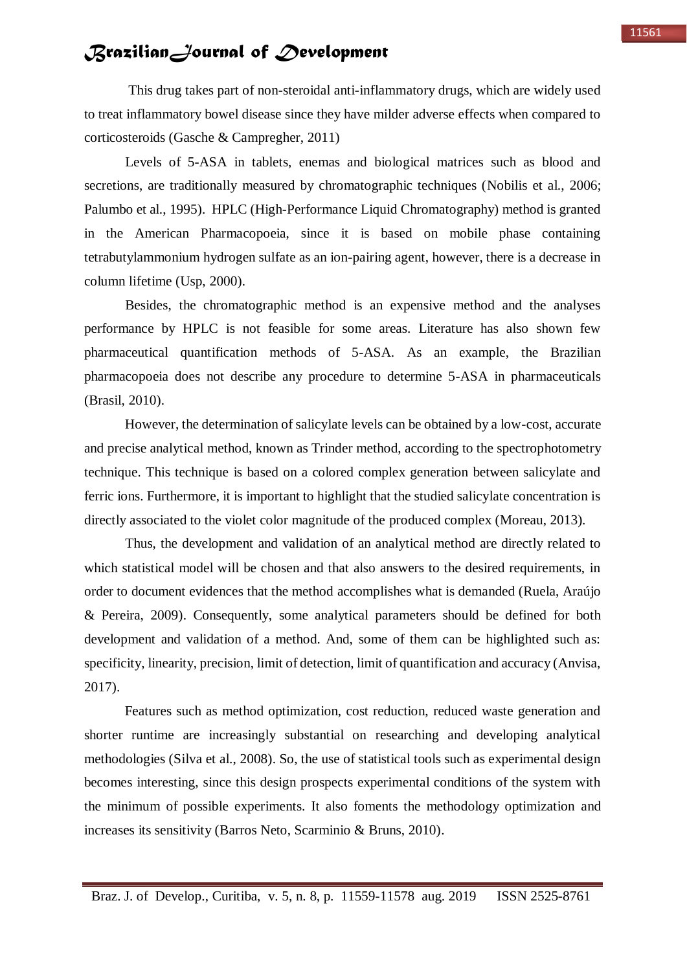This drug takes part of non-steroidal anti-inflammatory drugs, which are widely used to treat inflammatory bowel disease since they have milder adverse effects when compared to corticosteroids (Gasche & Campregher, 2011)

Levels of 5-ASA in tablets, enemas and biological matrices such as blood and secretions, are traditionally measured by chromatographic techniques (Nobilis et al., 2006; Palumbo et al., 1995). HPLC (High-Performance Liquid Chromatography) method is granted in the American Pharmacopoeia, since it is based on mobile phase containing tetrabutylammonium hydrogen sulfate as an ion-pairing agent, however, there is a decrease in column lifetime (Usp, 2000).

Besides, the chromatographic method is an expensive method and the analyses performance by HPLC is not feasible for some areas. Literature has also shown few pharmaceutical quantification methods of 5-ASA. As an example, the Brazilian pharmacopoeia does not describe any procedure to determine 5-ASA in pharmaceuticals (Brasil, 2010).

However, the determination of salicylate levels can be obtained by a low-cost, accurate and precise analytical method, known as Trinder method, according to the spectrophotometry technique. This technique is based on a colored complex generation between salicylate and ferric ions. Furthermore, it is important to highlight that the studied salicylate concentration is directly associated to the violet color magnitude of the produced complex (Moreau, 2013).

Thus, the development and validation of an analytical method are directly related to which statistical model will be chosen and that also answers to the desired requirements, in order to document evidences that the method accomplishes what is demanded (Ruela, Araújo & Pereira, 2009). Consequently, some analytical parameters should be defined for both development and validation of a method. And, some of them can be highlighted such as: specificity, linearity, precision, limit of detection, limit of quantification and accuracy (Anvisa, 2017).

Features such as method optimization, cost reduction, reduced waste generation and shorter runtime are increasingly substantial on researching and developing analytical methodologies (Silva et al., 2008). So, the use of statistical tools such as experimental design becomes interesting, since this design prospects experimental conditions of the system with the minimum of possible experiments. It also foments the methodology optimization and increases its sensitivity (Barros Neto, Scarminio & Bruns, 2010).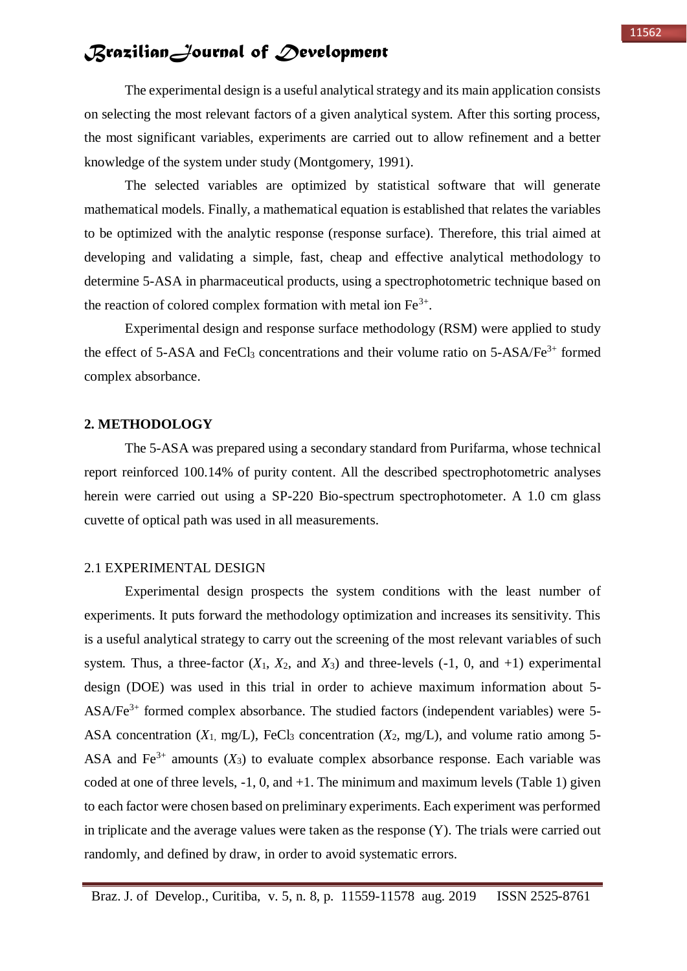The experimental design is a useful analytical strategy and its main application consists on selecting the most relevant factors of a given analytical system. After this sorting process, the most significant variables, experiments are carried out to allow refinement and a better knowledge of the system under study (Montgomery, 1991).

The selected variables are optimized by statistical software that will generate mathematical models. Finally, a mathematical equation is established that relates the variables to be optimized with the analytic response (response surface). Therefore, this trial aimed at developing and validating a simple, fast, cheap and effective analytical methodology to determine 5-ASA in pharmaceutical products, using a spectrophotometric technique based on the reaction of colored complex formation with metal ion  $Fe<sup>3+</sup>$ .

Experimental design and response surface methodology (RSM) were applied to study the effect of 5-ASA and FeCl<sub>3</sub> concentrations and their volume ratio on  $5$ -ASA/Fe<sup>3+</sup> formed complex absorbance.

#### **2. METHODOLOGY**

The 5-ASA was prepared using a secondary standard from Purifarma, whose technical report reinforced 100.14% of purity content. All the described spectrophotometric analyses herein were carried out using a SP-220 Bio-spectrum spectrophotometer. A 1.0 cm glass cuvette of optical path was used in all measurements.

#### 2.1 EXPERIMENTAL DESIGN

Experimental design prospects the system conditions with the least number of experiments. It puts forward the methodology optimization and increases its sensitivity. This is a useful analytical strategy to carry out the screening of the most relevant variables of such system. Thus, a three-factor  $(X_1, X_2, \text{ and } X_3)$  and three-levels  $(-1, 0, \text{ and } +1)$  experimental design (DOE) was used in this trial in order to achieve maximum information about 5-  $ASA/Fe<sup>3+</sup>$  formed complex absorbance. The studied factors (independent variables) were 5-ASA concentration  $(X_1, \text{mg/L})$ , FeCl<sub>3</sub> concentration  $(X_2, \text{mg/L})$ , and volume ratio among 5-ASA and  $Fe^{3+}$  amounts  $(X_3)$  to evaluate complex absorbance response. Each variable was coded at one of three levels,  $-1$ , 0, and  $+1$ . The minimum and maximum levels (Table 1) given to each factor were chosen based on preliminary experiments. Each experiment was performed in triplicate and the average values were taken as the response (Y). The trials were carried out randomly, and defined by draw, in order to avoid systematic errors.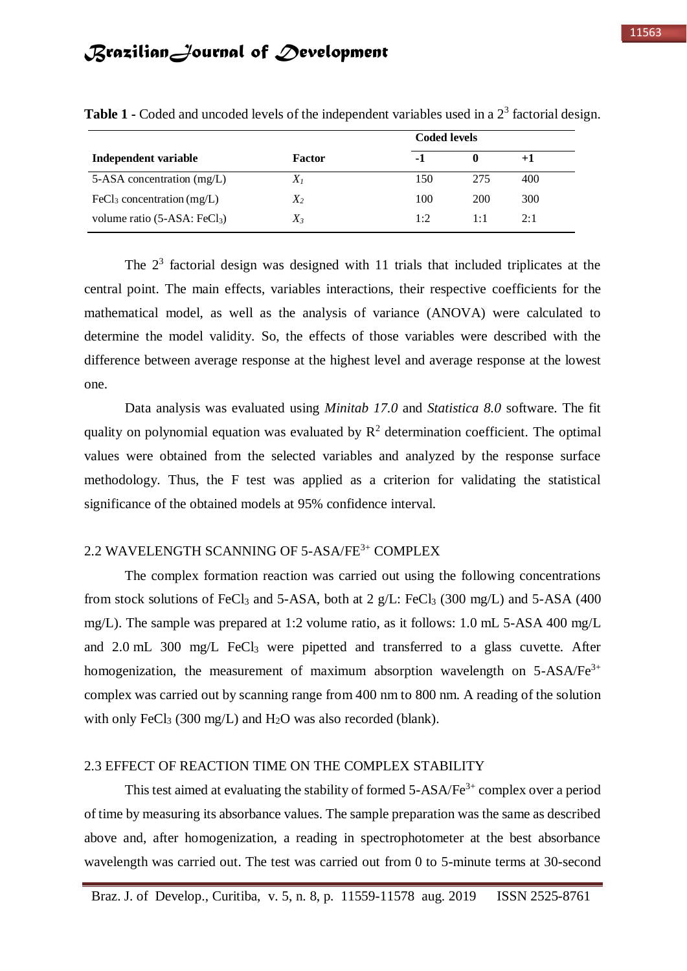|                                          |               | <b>Coded levels</b> |     |      |
|------------------------------------------|---------------|---------------------|-----|------|
| Independent variable                     | <b>Factor</b> | -1                  |     | $+1$ |
| 5-ASA concentration (mg/L)               | $X_I$         | 150                 | 275 | 400  |
| FeCl <sub>3</sub> concentration $(mg/L)$ | $X_2$         | 100                 | 200 | 300  |
| volume ratio (5-ASA: FeCl <sub>3</sub> ) | $X_3$         | 1:2                 | 1:1 | 2:1  |

Table 1 - Coded and uncoded levels of the independent variables used in a 2<sup>3</sup> factorial design.

The  $2<sup>3</sup>$  factorial design was designed with 11 trials that included triplicates at the central point. The main effects, variables interactions, their respective coefficients for the mathematical model, as well as the analysis of variance (ANOVA) were calculated to determine the model validity. So, the effects of those variables were described with the difference between average response at the highest level and average response at the lowest one.

Data analysis was evaluated using *Minitab 17.0* and *Statistica 8.0* software. The fit quality on polynomial equation was evaluated by  $\mathbb{R}^2$  determination coefficient. The optimal values were obtained from the selected variables and analyzed by the response surface methodology. Thus, the F test was applied as a criterion for validating the statistical significance of the obtained models at 95% confidence interval.

### 2.2 WAVELENGTH SCANNING OF 5-ASA/FE3+ COMPLEX

The complex formation reaction was carried out using the following concentrations from stock solutions of FeCl<sub>3</sub> and 5-ASA, both at 2  $g/L$ : FeCl<sub>3</sub> (300 mg/L) and 5-ASA (400 mg/L). The sample was prepared at 1:2 volume ratio, as it follows: 1.0 mL 5-ASA 400 mg/L and 2.0 mL 300 mg/L FeCl<sub>3</sub> were pipetted and transferred to a glass cuvette. After homogenization, the measurement of maximum absorption wavelength on  $5-ASA/Fe^{3+}$ complex was carried out by scanning range from 400 nm to 800 nm. A reading of the solution with only FeCl<sub>3</sub> (300 mg/L) and  $H_2O$  was also recorded (blank).

#### 2.3 EFFECT OF REACTION TIME ON THE COMPLEX STABILITY

This test aimed at evaluating the stability of formed  $5-ASA/Fe^{3+}$  complex over a period of time by measuring its absorbance values. The sample preparation was the same as described above and, after homogenization, a reading in spectrophotometer at the best absorbance wavelength was carried out. The test was carried out from 0 to 5-minute terms at 30-second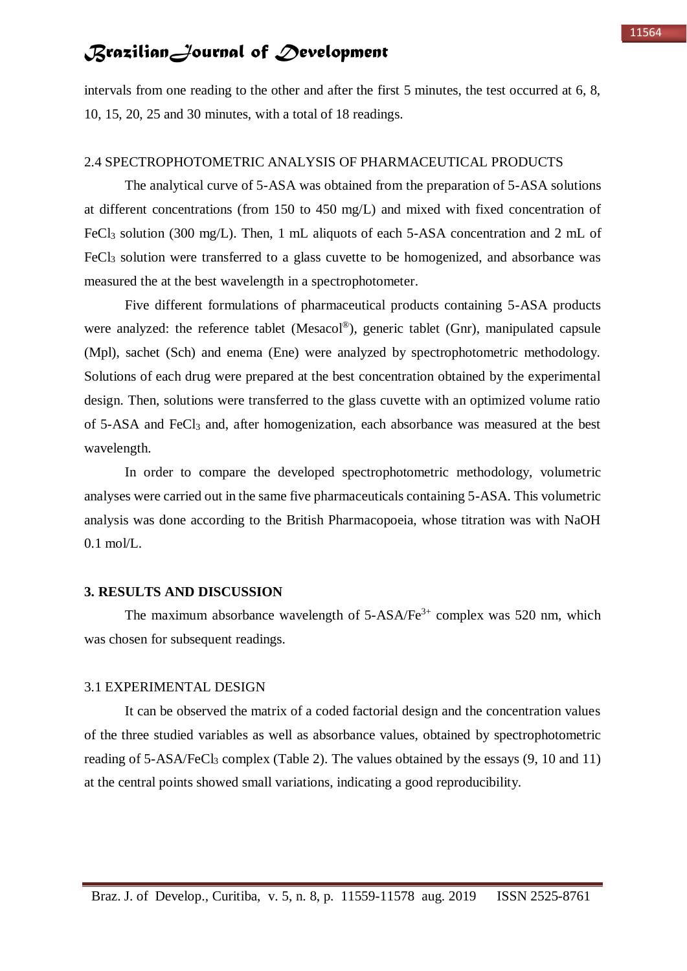intervals from one reading to the other and after the first 5 minutes, the test occurred at 6, 8, 10, 15, 20, 25 and 30 minutes, with a total of 18 readings.

### 2.4 SPECTROPHOTOMETRIC ANALYSIS OF PHARMACEUTICAL PRODUCTS

The analytical curve of 5-ASA was obtained from the preparation of 5-ASA solutions at different concentrations (from 150 to 450 mg/L) and mixed with fixed concentration of FeCl<sub>3</sub> solution (300 mg/L). Then, 1 mL aliquots of each 5-ASA concentration and 2 mL of FeCl<sub>3</sub> solution were transferred to a glass cuvette to be homogenized, and absorbance was measured the at the best wavelength in a spectrophotometer.

Five different formulations of pharmaceutical products containing 5-ASA products were analyzed: the reference tablet (Mesacol®), generic tablet (Gnr), manipulated capsule (Mpl), sachet (Sch) and enema (Ene) were analyzed by spectrophotometric methodology. Solutions of each drug were prepared at the best concentration obtained by the experimental design. Then, solutions were transferred to the glass cuvette with an optimized volume ratio of 5-ASA and FeCl<sup>3</sup> and, after homogenization, each absorbance was measured at the best wavelength.

In order to compare the developed spectrophotometric methodology, volumetric analyses were carried out in the same five pharmaceuticals containing 5-ASA. This volumetric analysis was done according to the British Pharmacopoeia, whose titration was with NaOH  $0.1$  mol/L.

#### **3. RESULTS AND DISCUSSION**

The maximum absorbance wavelength of  $5-ASA/Fe^{3+}$  complex was 520 nm, which was chosen for subsequent readings.

#### 3.1 EXPERIMENTAL DESIGN

It can be observed the matrix of a coded factorial design and the concentration values of the three studied variables as well as absorbance values, obtained by spectrophotometric reading of 5-ASA/FeCl<sub>3</sub> complex (Table 2). The values obtained by the essays (9, 10 and 11) at the central points showed small variations, indicating a good reproducibility.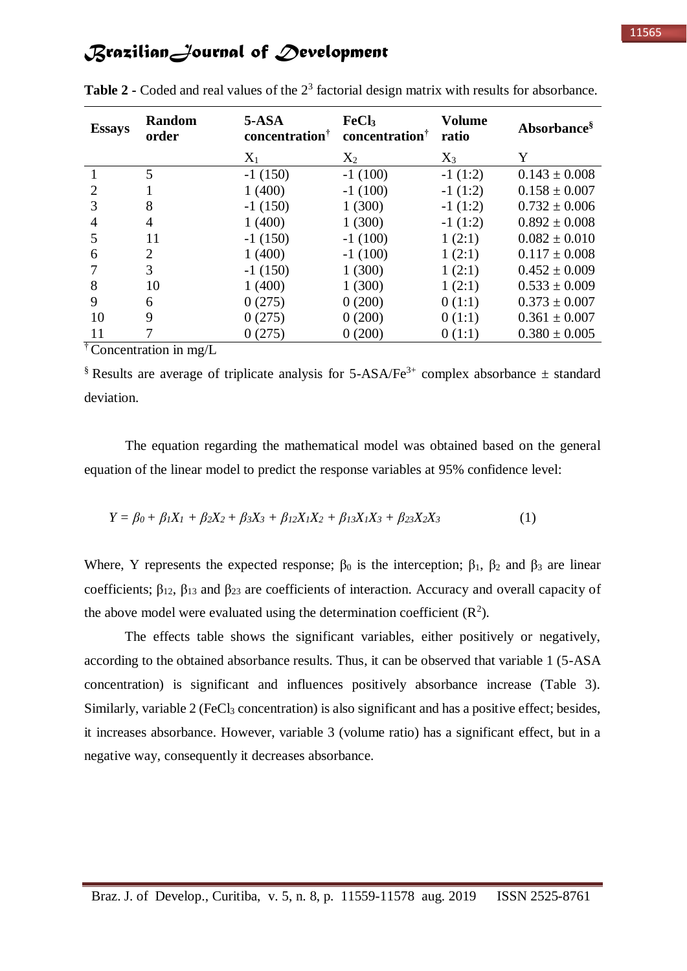| <b>Essays</b>               | Random<br>order | $5-ASA$<br>concentration <sup>†</sup> | FeCl <sub>3</sub><br>concentration <sup>†</sup> | <b>Volume</b><br>ratio | Absorbance <sup>§</sup> |
|-----------------------------|-----------------|---------------------------------------|-------------------------------------------------|------------------------|-------------------------|
|                             |                 | $X_1$                                 | $X_2$                                           | $X_3$                  | Y                       |
|                             | 5               | $-1(150)$                             | $-1(100)$                                       | $-1(1:2)$              | $0.143 \pm 0.008$       |
| $\mathcal{D}_{\mathcal{L}}$ |                 | 1(400)                                | $-1(100)$                                       | $-1(1:2)$              | $0.158 \pm 0.007$       |
| 3                           | 8               | $-1(150)$                             | 1(300)                                          | $-1(1:2)$              | $0.732 \pm 0.006$       |
| 4                           | 4               | 1(400)                                | 1(300)                                          | $-1(1:2)$              | $0.892 \pm 0.008$       |
|                             | 11              | $-1(150)$                             | $-1(100)$                                       | 1(2:1)                 | $0.082 \pm 0.010$       |
| 6                           | 2               | 1(400)                                | $-1(100)$                                       | 1(2:1)                 | $0.117 \pm 0.008$       |
|                             | 3               | $-1(150)$                             | 1(300)                                          | 1(2:1)                 | $0.452 \pm 0.009$       |
| 8                           | 10              | 1(400)                                | 1(300)                                          | 1(2:1)                 | $0.533 \pm 0.009$       |
| 9                           | 6               | 0(275)                                | 0(200)                                          | 0(1:1)                 | $0.373 \pm 0.007$       |
| 10                          | 9               | 0(275)                                | 0(200)                                          | 0(1:1)                 | $0.361 \pm 0.007$       |
| 11                          |                 | 0(275)                                | 0(200)                                          | 0(1:1)                 | $0.380 \pm 0.005$       |
|                             | $\mathbf{L}$    |                                       |                                                 |                        |                         |

**Table 2 -** Coded and real values of the  $2<sup>3</sup>$  factorial design matrix with results for absorbance.

† Concentration in mg/L

§ Results are average of triplicate analysis for 5-ASA/Fe<sup>3+</sup> complex absorbance  $\pm$  standard deviation.

The equation regarding the mathematical model was obtained based on the general equation of the linear model to predict the response variables at 95% confidence level:

$$
Y = \beta_0 + \beta_1 X_1 + \beta_2 X_2 + \beta_3 X_3 + \beta_{12} X_1 X_2 + \beta_{13} X_1 X_3 + \beta_{23} X_2 X_3 \tag{1}
$$

Where, Y represents the expected response;  $\beta_0$  is the interception;  $\beta_1$ ,  $\beta_2$  and  $\beta_3$  are linear coefficients;  $\beta_{12}$ ,  $\beta_{13}$  and  $\beta_{23}$  are coefficients of interaction. Accuracy and overall capacity of the above model were evaluated using the determination coefficient  $(R^2)$ .

The effects table shows the significant variables, either positively or negatively, according to the obtained absorbance results. Thus, it can be observed that variable 1 (5-ASA concentration) is significant and influences positively absorbance increase (Table 3). Similarly, variable  $2$  (FeCl<sub>3</sub> concentration) is also significant and has a positive effect; besides, it increases absorbance. However, variable 3 (volume ratio) has a significant effect, but in a negative way, consequently it decreases absorbance.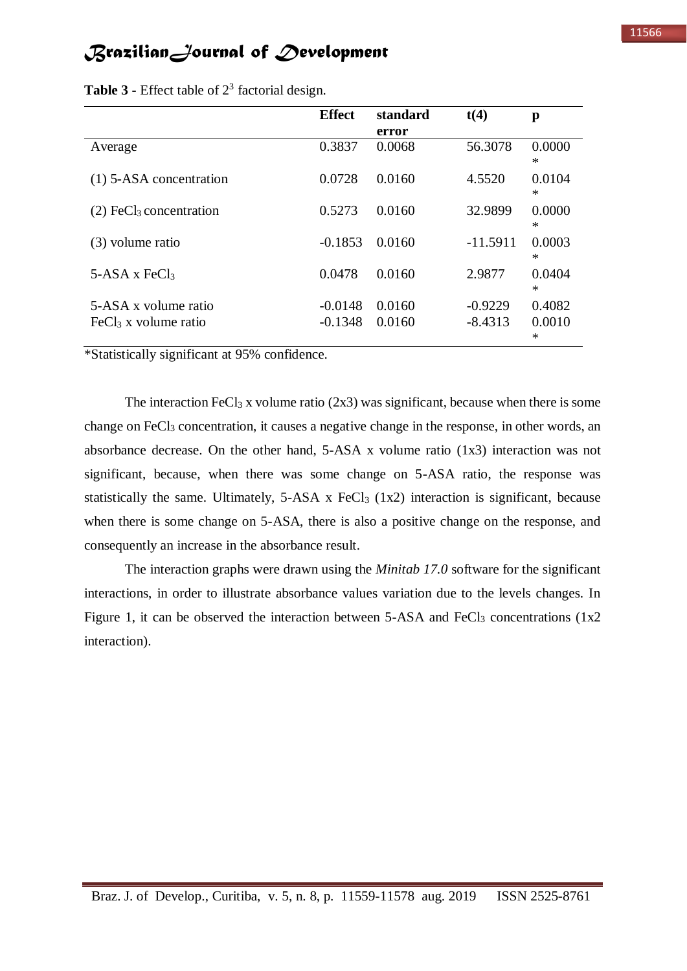| <b>Effect</b>          | standard         | t(4)                   | p                     |
|------------------------|------------------|------------------------|-----------------------|
|                        | error            |                        |                       |
| 0.3837                 | 0.0068           | 56.3078                | 0.0000<br>∗           |
| 0.0728                 | 0.0160           | 4.5520                 | 0.0104<br>∗           |
| 0.5273                 | 0.0160           | 32.9899                | 0.0000<br>∗           |
| $-0.1853$              | 0.0160           | $-11.5911$             | 0.0003<br>∗           |
| 0.0478                 | 0.0160           | 2.9877                 | 0.0404<br>$\ast$      |
| $-0.0148$<br>$-0.1348$ | 0.0160<br>0.0160 | $-0.9229$<br>$-8.4313$ | 0.4082<br>0.0010<br>* |
|                        |                  |                        |                       |

**Table 3 -** Effect table of  $2<sup>3</sup>$  factorial design.

\*Statistically significant at 95% confidence.

The interaction FeCl<sub>3</sub> x volume ratio  $(2x3)$  was significant, because when there is some change on FeCl<sub>3</sub> concentration, it causes a negative change in the response, in other words, an absorbance decrease. On the other hand,  $5-ASA$  x volume ratio  $(1x3)$  interaction was not significant, because, when there was some change on 5-ASA ratio, the response was statistically the same. Ultimately,  $5-ASA \times FeCl_3 (1x2)$  interaction is significant, because when there is some change on 5-ASA, there is also a positive change on the response, and consequently an increase in the absorbance result.

The interaction graphs were drawn using the *Minitab 17.0* software for the significant interactions, in order to illustrate absorbance values variation due to the levels changes. In Figure 1, it can be observed the interaction between  $5-ASA$  and  $FeCl<sub>3</sub>$  concentrations  $(1x2)$ interaction).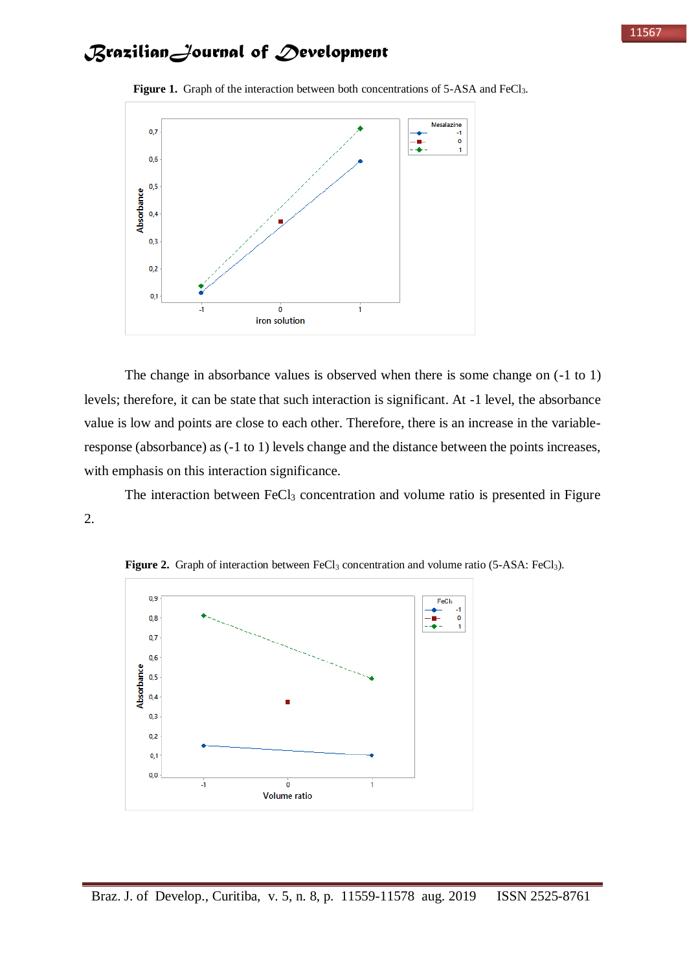

Figure 1. Graph of the interaction between both concentrations of 5-ASA and FeCl<sub>3</sub>.

The change in absorbance values is observed when there is some change on (-1 to 1) levels; therefore, it can be state that such interaction is significant. At -1 level, the absorbance value is low and points are close to each other. Therefore, there is an increase in the variableresponse (absorbance) as (-1 to 1) levels change and the distance between the points increases, with emphasis on this interaction significance.

The interaction between FeCl<sub>3</sub> concentration and volume ratio is presented in Figure 2.



**Figure 2.** Graph of interaction between FeCl<sub>3</sub> concentration and volume ratio (5-ASA: FeCl<sub>3</sub>).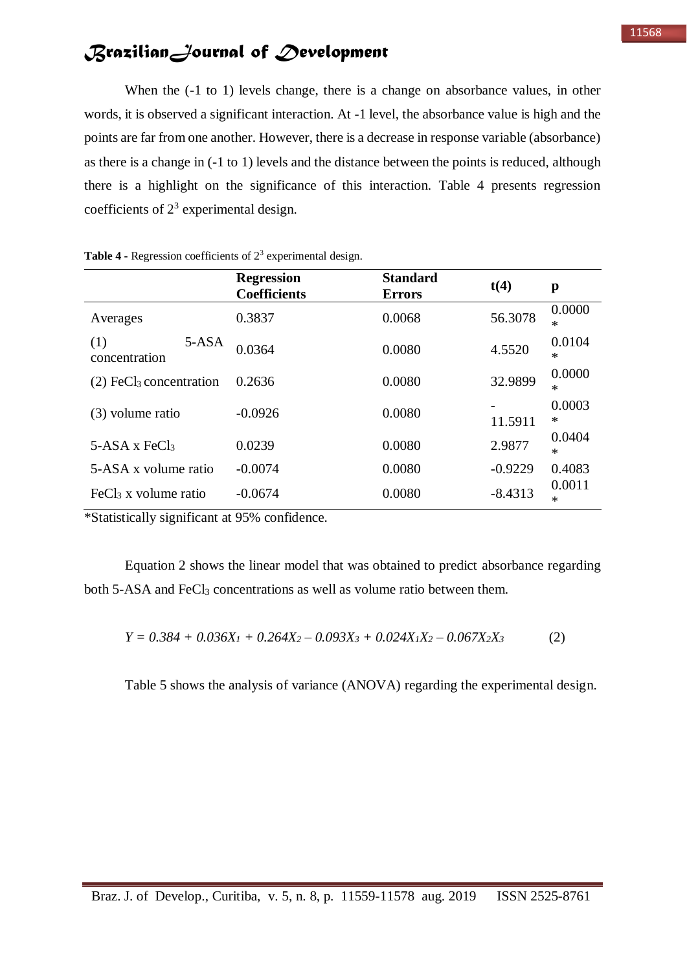When the  $(-1 \text{ to } 1)$  levels change, there is a change on absorbance values, in other words, it is observed a significant interaction. At -1 level, the absorbance value is high and the points are far from one another. However, there is a decrease in response variable (absorbance) as there is a change in (-1 to 1) levels and the distance between the points is reduced, although there is a highlight on the significance of this interaction. Table 4 presents regression coefficients of  $2<sup>3</sup>$  experimental design.

|                                       | <b>Regression</b><br><b>Coefficients</b> | <b>Standard</b><br><b>Errors</b> | t(4)      | p                |
|---------------------------------------|------------------------------------------|----------------------------------|-----------|------------------|
| Averages                              | 0.3837                                   | 0.0068                           | 56.3078   | 0.0000<br>*      |
| (1)<br>$5-ASA$<br>concentration       | 0.0364                                   | 0.0080                           | 4.5520    | 0.0104<br>$\ast$ |
| $(2)$ FeCl <sub>3</sub> concentration | 0.2636                                   | 0.0080                           | 32.9899   | 0.0000<br>$\ast$ |
| (3) volume ratio                      | $-0.0926$                                | 0.0080                           | 11.5911   | 0.0003<br>*      |
| $5-ASA \times FeCl3$                  | 0.0239                                   | 0.0080                           | 2.9877    | 0.0404<br>$\ast$ |
| 5-ASA x volume ratio                  | $-0.0074$                                | 0.0080                           | $-0.9229$ | 0.4083           |
| $FeCl3$ x volume ratio                | $-0.0674$                                | 0.0080                           | $-8.4313$ | 0.0011<br>$\ast$ |

**Table 4 -** Regression coefficients of  $2<sup>3</sup>$  experimental design.

\*Statistically significant at 95% confidence.

Equation 2 shows the linear model that was obtained to predict absorbance regarding both 5-ASA and FeCl<sub>3</sub> concentrations as well as volume ratio between them.

$$
Y = 0.384 + 0.036X_1 + 0.264X_2 - 0.093X_3 + 0.024X_1X_2 - 0.067X_2X_3
$$
 (2)

Table 5 shows the analysis of variance (ANOVA) regarding the experimental design.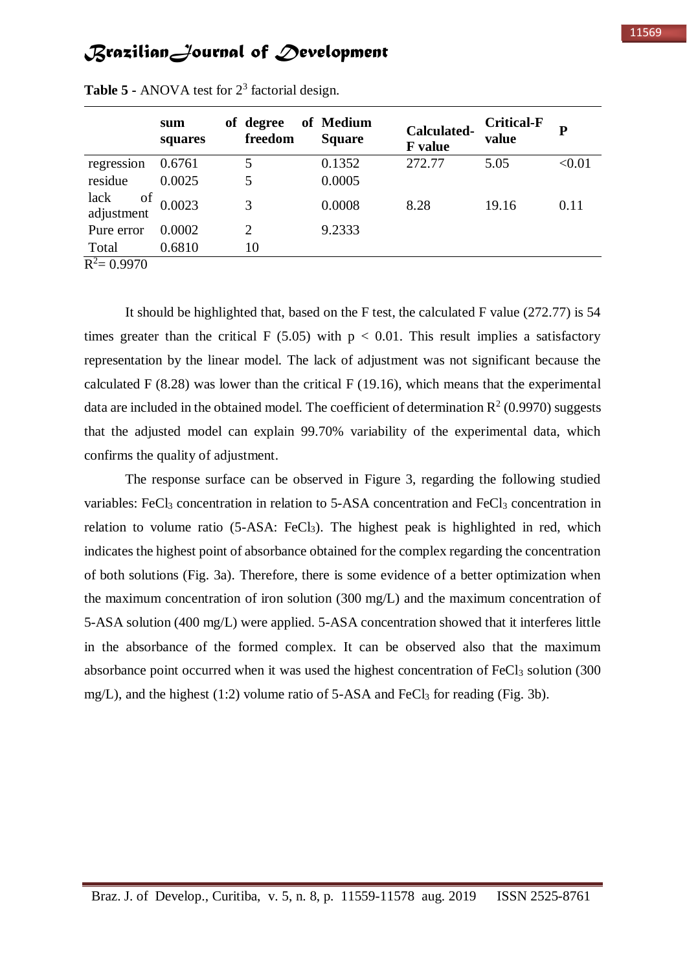|                          | sum<br>squares | of degree<br>freedom | of Medium<br><b>Square</b> | Calculated-<br><b>F</b> value | <b>Critical-F</b><br>value | D      |
|--------------------------|----------------|----------------------|----------------------------|-------------------------------|----------------------------|--------|
| regression               | 0.6761         | 5                    | 0.1352                     | 272.77                        | 5.05                       | < 0.01 |
| residue                  | 0.0025         | 5                    | 0.0005                     |                               |                            |        |
| lack<br>of<br>adjustment | 0.0023         | 3                    | 0.0008                     | 8.28                          | 19.16                      | 0.11   |
| Pure error               | 0.0002         | $\overline{2}$       | 9.2333                     |                               |                            |        |
| Total                    | 0.6810         | 10                   |                            |                               |                            |        |
| $n^2$ 0.0070             |                |                      |                            |                               |                            |        |

Table 5 - ANOVA test for 2<sup>3</sup> factorial design.

 $R^2 = 0.9970$ 

It should be highlighted that, based on the F test, the calculated F value (272.77) is 54 times greater than the critical F (5.05) with  $p < 0.01$ . This result implies a satisfactory representation by the linear model. The lack of adjustment was not significant because the calculated F  $(8.28)$  was lower than the critical F  $(19.16)$ , which means that the experimental data are included in the obtained model. The coefficient of determination  $\mathbb{R}^2$  (0.9970) suggests that the adjusted model can explain 99.70% variability of the experimental data, which confirms the quality of adjustment.

The response surface can be observed in Figure 3, regarding the following studied variables: FeCl<sub>3</sub> concentration in relation to 5-ASA concentration and FeCl<sub>3</sub> concentration in relation to volume ratio (5-ASA: FeCl<sub>3</sub>). The highest peak is highlighted in red, which indicates the highest point of absorbance obtained for the complex regarding the concentration of both solutions (Fig. 3a). Therefore, there is some evidence of a better optimization when the maximum concentration of iron solution (300 mg/L) and the maximum concentration of 5-ASA solution (400 mg/L) were applied. 5-ASA concentration showed that it interferes little in the absorbance of the formed complex. It can be observed also that the maximum absorbance point occurred when it was used the highest concentration of  $FeCl<sub>3</sub>$  solution (300) mg/L), and the highest (1:2) volume ratio of 5-ASA and FeCl<sub>3</sub> for reading (Fig. 3b).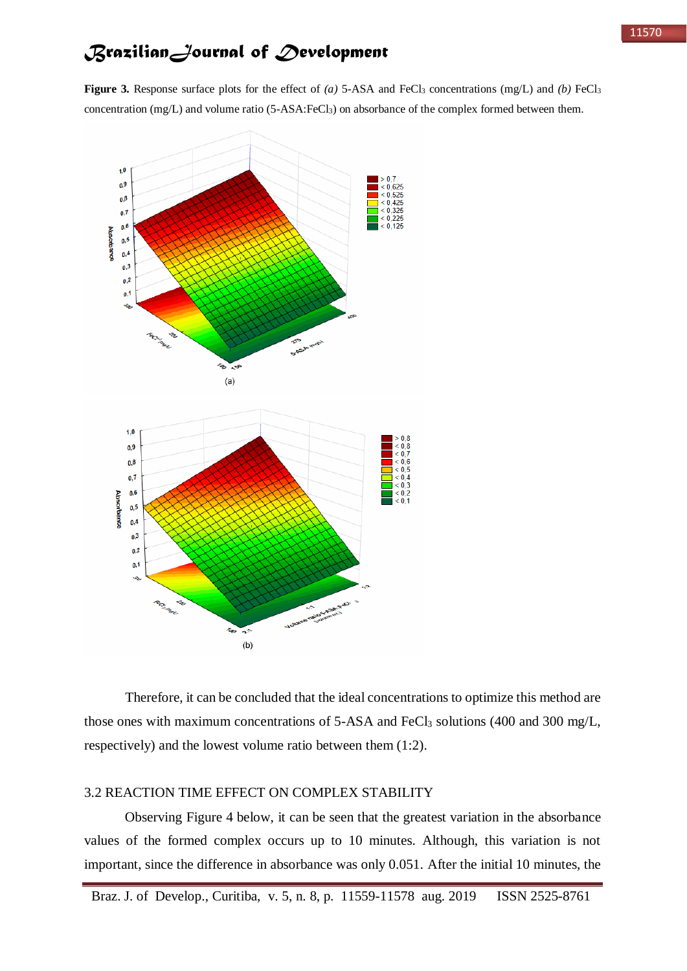**Figure 3.** Response surface plots for the effect of *(a)* 5-ASA and FeCl<sub>3</sub> concentrations (mg/L) and *(b)* FeCl<sub>3</sub> concentration (mg/L) and volume ratio (5-ASA:FeCl<sub>3</sub>) on absorbance of the complex formed between them.



Therefore, it can be concluded that the ideal concentrations to optimize this method are those ones with maximum concentrations of  $5$ -ASA and FeCl<sub>3</sub> solutions (400 and 300 mg/L, respectively) and the lowest volume ratio between them (1:2).

### 3.2 REACTION TIME EFFECT ON COMPLEX STABILITY

Observing Figure 4 below, it can be seen that the greatest variation in the absorbance values of the formed complex occurs up to 10 minutes. Although, this variation is not important, since the difference in absorbance was only 0.051. After the initial 10 minutes, the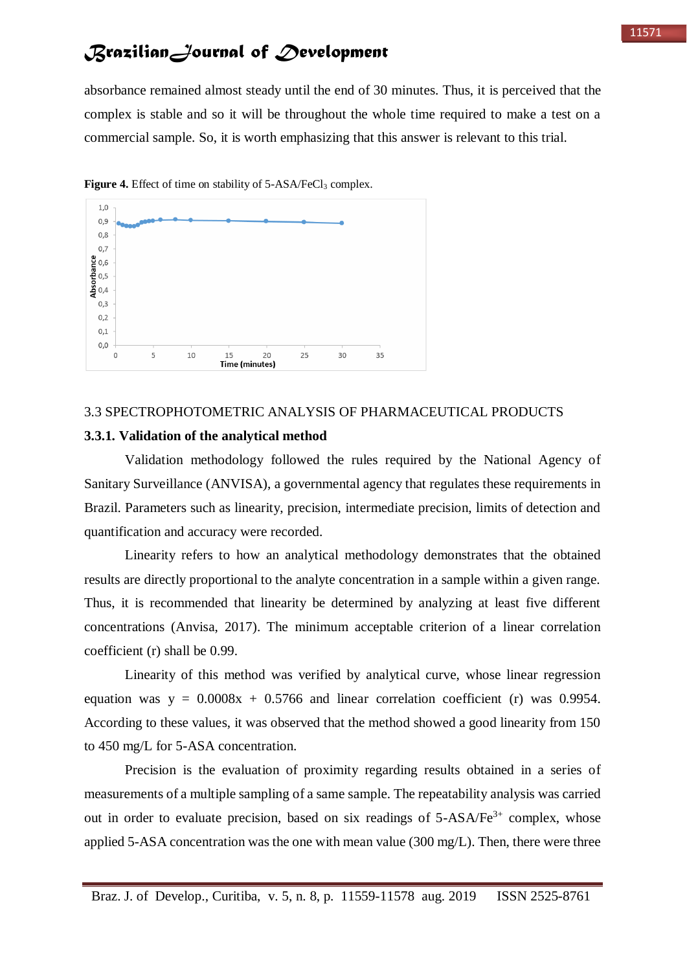absorbance remained almost steady until the end of 30 minutes. Thus, it is perceived that the complex is stable and so it will be throughout the whole time required to make a test on a commercial sample. So, it is worth emphasizing that this answer is relevant to this trial.



Figure 4. Effect of time on stability of 5-ASA/FeCl<sub>3</sub> complex.

### 3.3 SPECTROPHOTOMETRIC ANALYSIS OF PHARMACEUTICAL PRODUCTS

#### **3.3.1. Validation of the analytical method**

Validation methodology followed the rules required by the National Agency of Sanitary Surveillance (ANVISA), a governmental agency that regulates these requirements in Brazil. Parameters such as linearity, precision, intermediate precision, limits of detection and quantification and accuracy were recorded.

Linearity refers to how an analytical methodology demonstrates that the obtained results are directly proportional to the analyte concentration in a sample within a given range. Thus, it is recommended that linearity be determined by analyzing at least five different concentrations (Anvisa, 2017). The minimum acceptable criterion of a linear correlation coefficient (r) shall be 0.99.

Linearity of this method was verified by analytical curve, whose linear regression equation was  $y = 0.0008x + 0.5766$  and linear correlation coefficient (r) was 0.9954. According to these values, it was observed that the method showed a good linearity from 150 to 450 mg/L for 5-ASA concentration.

Precision is the evaluation of proximity regarding results obtained in a series of measurements of a multiple sampling of a same sample. The repeatability analysis was carried out in order to evaluate precision, based on six readings of  $5-ASA/Fe<sup>3+</sup>$  complex, whose applied 5-ASA concentration was the one with mean value  $(300 \text{ mg/L})$ . Then, there were three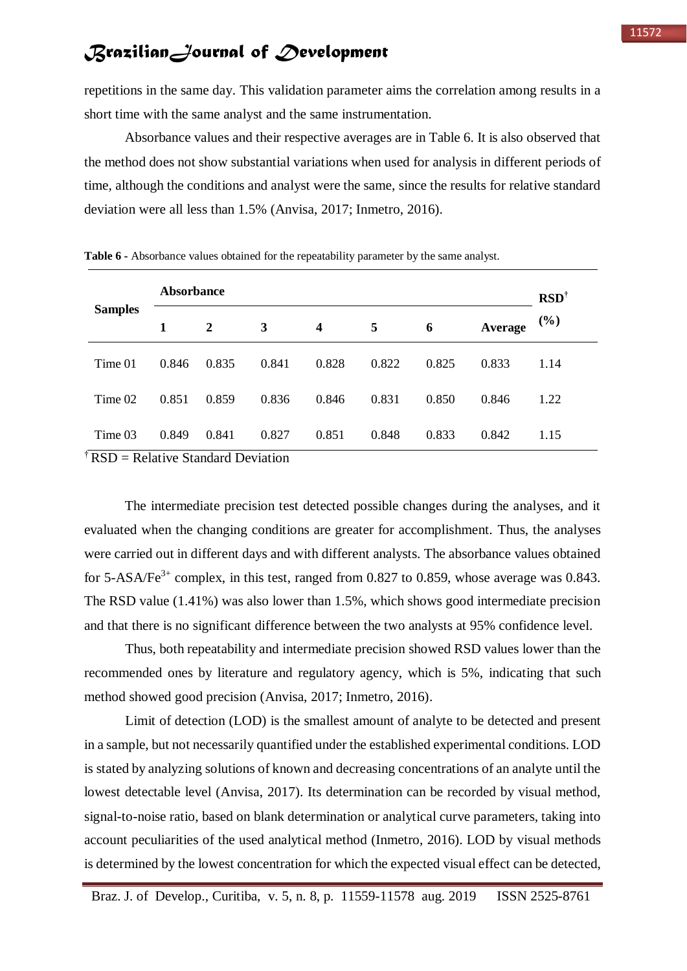repetitions in the same day. This validation parameter aims the correlation among results in a short time with the same analyst and the same instrumentation.

Absorbance values and their respective averages are in Table 6. It is also observed that the method does not show substantial variations when used for analysis in different periods of time, although the conditions and analyst were the same, since the results for relative standard deviation were all less than 1.5% (Anvisa, 2017; Inmetro, 2016).

|                     | <b>Absorbance</b> |       |       |                  |       |       |         | $\text{RSD}^{\dagger}$ |
|---------------------|-------------------|-------|-------|------------------|-------|-------|---------|------------------------|
| <b>Samples</b><br>1 |                   | 2     | 3     | $\boldsymbol{4}$ | 5     | 6     | Average | $(\%)$                 |
| Time 01             | 0.846             | 0.835 | 0.841 | 0.828            | 0.822 | 0.825 | 0.833   | 1.14                   |
| Time 02             | 0.851             | 0.859 | 0.836 | 0.846            | 0.831 | 0.850 | 0.846   | 1.22                   |
| Time 03             | 0.849             | 0.841 | 0.827 | 0.851            | 0.848 | 0.833 | 0.842   | 1.15                   |

**Table 6 -** Absorbance values obtained for the repeatability parameter by the same analyst.

 $\angle$ <sub>r</sub> RSD = Relative Standard Deviation

The intermediate precision test detected possible changes during the analyses, and it evaluated when the changing conditions are greater for accomplishment. Thus, the analyses were carried out in different days and with different analysts. The absorbance values obtained for 5-ASA/Fe<sup>3+</sup> complex, in this test, ranged from 0.827 to 0.859, whose average was 0.843. The RSD value (1.41%) was also lower than 1.5%, which shows good intermediate precision and that there is no significant difference between the two analysts at 95% confidence level.

Thus, both repeatability and intermediate precision showed RSD values lower than the recommended ones by literature and regulatory agency, which is 5%, indicating that such method showed good precision (Anvisa, 2017; Inmetro, 2016).

Limit of detection (LOD) is the smallest amount of analyte to be detected and present in a sample, but not necessarily quantified under the established experimental conditions. LOD is stated by analyzing solutions of known and decreasing concentrations of an analyte until the lowest detectable level (Anvisa, 2017). Its determination can be recorded by visual method, signal-to-noise ratio, based on blank determination or analytical curve parameters, taking into account peculiarities of the used analytical method (Inmetro, 2016). LOD by visual methods is determined by the lowest concentration for which the expected visual effect can be detected,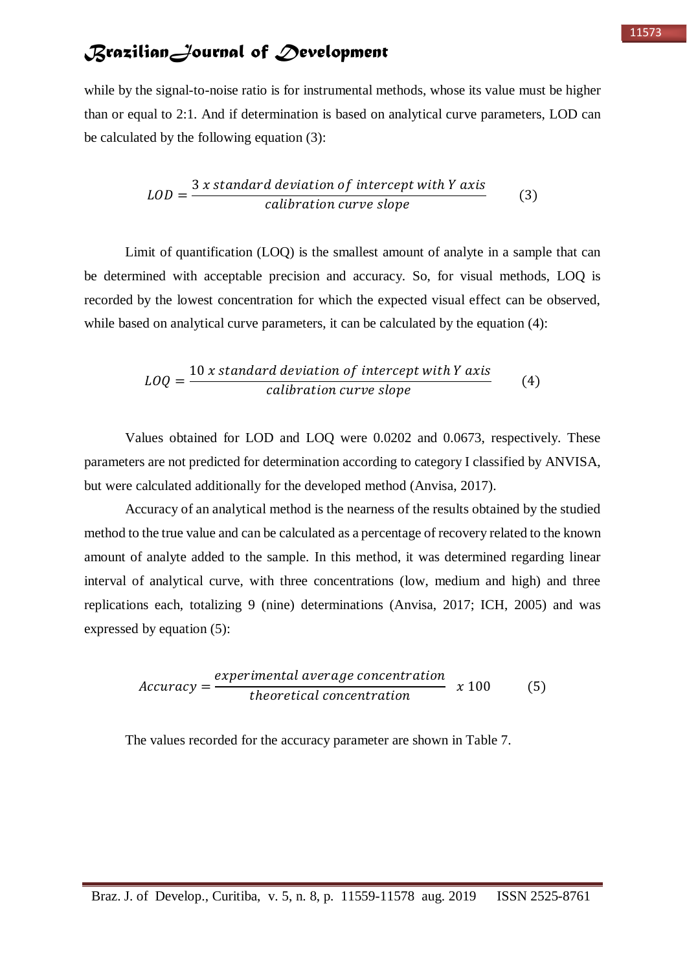while by the signal-to-noise ratio is for instrumental methods, whose its value must be higher than or equal to 2:1. And if determination is based on analytical curve parameters, LOD can be calculated by the following equation (3):

$$
LOD = \frac{3 x standard deviation of intercept with Y axis}{calibration curve slope}
$$
 (3)

Limit of quantification (LOQ) is the smallest amount of analyte in a sample that can be determined with acceptable precision and accuracy. So, for visual methods, LOQ is recorded by the lowest concentration for which the expected visual effect can be observed, while based on analytical curve parameters, it can be calculated by the equation (4):

$$
LOQ = \frac{10 x standard deviation of intercept with Y axis}{calibration curve slope}
$$
 (4)

Values obtained for LOD and LOQ were 0.0202 and 0.0673, respectively. These parameters are not predicted for determination according to category I classified by ANVISA, but were calculated additionally for the developed method (Anvisa, 2017).

Accuracy of an analytical method is the nearness of the results obtained by the studied method to the true value and can be calculated as a percentage of recovery related to the known amount of analyte added to the sample. In this method, it was determined regarding linear interval of analytical curve, with three concentrations (low, medium and high) and three replications each, totalizing 9 (nine) determinations (Anvisa, 2017; ICH, 2005) and was expressed by equation (5):

$$
Accuracy = \frac{experimental\ average\ concentration}{theoretical\ concentration} \quad x\ 100\tag{5}
$$

The values recorded for the accuracy parameter are shown in Table 7.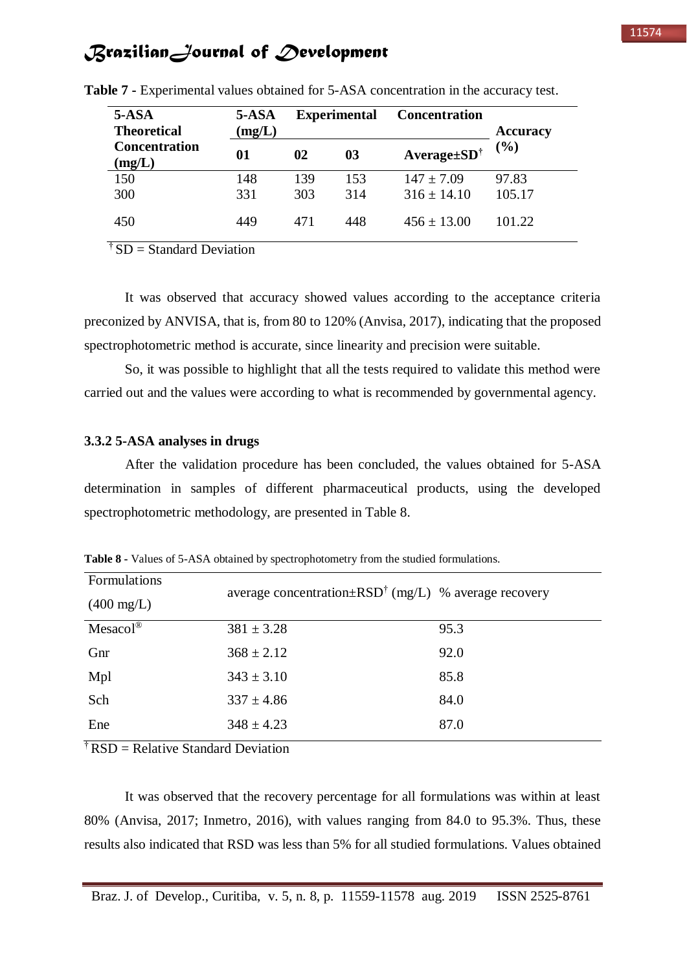| $5-ASA$<br><b>Theoretical</b>  | 5-ASA<br>(mg/L) |     | <b>Experimental</b> | <b>Concentration</b>       | <b>Accuracy</b> |
|--------------------------------|-----------------|-----|---------------------|----------------------------|-----------------|
| <b>Concentration</b><br>(mg/L) | 01              | 02  | 03                  | $Average \pm SD^{\dagger}$ | (%)             |
| 150                            | 148             | 139 | 153                 | $147 \pm 7.09$             | 97.83           |
| 300                            | 331             | 303 | 314                 | $316 \pm 14.10$            | 105.17          |
| 450                            | 449             | 471 | 448                 | $456 \pm 13.00$            | 101.22          |

**Table 7 -** Experimental values obtained for 5-ASA concentration in the accuracy test.

<sup> $\dagger$ </sup> SD = Standard Deviation

It was observed that accuracy showed values according to the acceptance criteria preconized by ANVISA, that is, from 80 to 120% (Anvisa, 2017), indicating that the proposed spectrophotometric method is accurate, since linearity and precision were suitable.

So, it was possible to highlight that all the tests required to validate this method were carried out and the values were according to what is recommended by governmental agency.

#### **3.3.2 5-ASA analyses in drugs**

After the validation procedure has been concluded, the values obtained for 5-ASA determination in samples of different pharmaceutical products, using the developed spectrophotometric methodology, are presented in Table 8.

| <b>Formulations</b><br>$(400 \text{ mg/L})$ | average concentration $\pm RSD^{\dagger}$ (mg/L) % average recovery |      |
|---------------------------------------------|---------------------------------------------------------------------|------|
| $Mesacol^{\circledR}$                       | $381 \pm 3.28$                                                      | 95.3 |
| Gnr                                         | $368 \pm 2.12$                                                      | 92.0 |
| Mpl                                         | $343 \pm 3.10$                                                      | 85.8 |
| Sch                                         | $337 \pm 4.86$                                                      | 84.0 |
| Ene                                         | $348 \pm 4.23$                                                      | 87.0 |
|                                             |                                                                     |      |

**Table 8 -** Values of 5-ASA obtained by spectrophotometry from the studied formulations.

 $\overline{f}$  RSD = Relative Standard Deviation

It was observed that the recovery percentage for all formulations was within at least 80% (Anvisa, 2017; Inmetro, 2016), with values ranging from 84.0 to 95.3%. Thus, these results also indicated that RSD was less than 5% for all studied formulations. Values obtained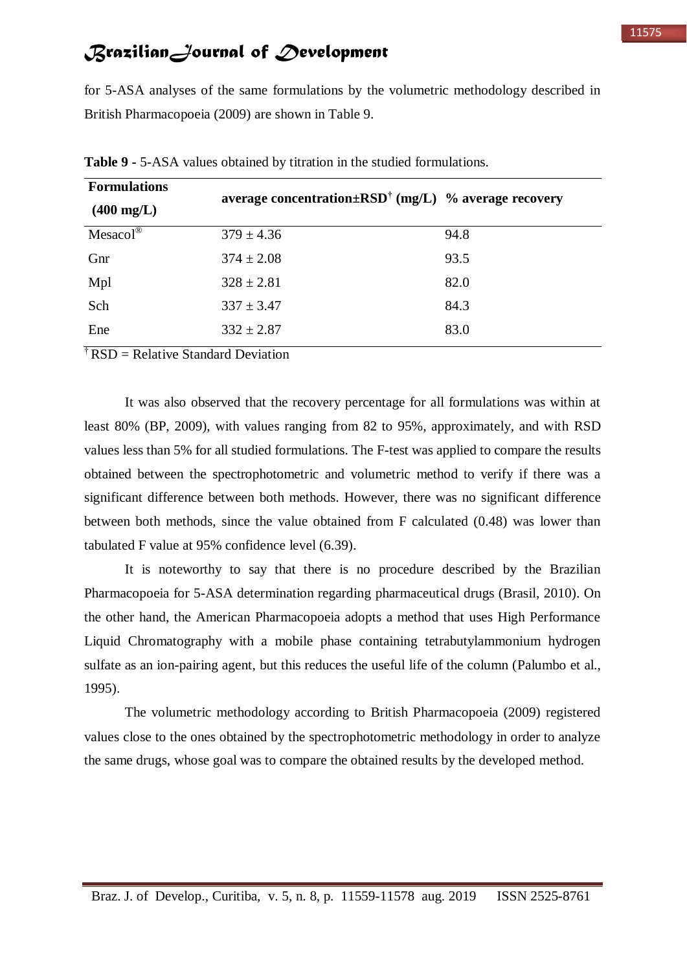for 5-ASA analyses of the same formulations by the volumetric methodology described in British Pharmacopoeia (2009) are shown in Table 9.

| <b>Formulations</b><br>$(400 \; mg/L)$ | average concentration $\pm RSD^{\dagger}$ (mg/L) % average recovery |      |
|----------------------------------------|---------------------------------------------------------------------|------|
| Mesaco <sup>1</sup>                    | $379 \pm 4.36$                                                      | 94.8 |
| Gnr                                    | $374 \pm 2.08$                                                      | 93.5 |
| Mpl                                    | $328 \pm 2.81$                                                      | 82.0 |
| Sch                                    | $337 \pm 3.47$                                                      | 84.3 |
| Ene                                    | $332 \pm 2.87$                                                      | 83.0 |

**Table 9 -** 5-ASA values obtained by titration in the studied formulations.

<sup>†</sup> RSD = Relative Standard Deviation

It was also observed that the recovery percentage for all formulations was within at least 80% (BP, 2009), with values ranging from 82 to 95%, approximately, and with RSD values less than 5% for all studied formulations. The F-test was applied to compare the results obtained between the spectrophotometric and volumetric method to verify if there was a significant difference between both methods. However, there was no significant difference between both methods, since the value obtained from F calculated (0.48) was lower than tabulated F value at 95% confidence level (6.39).

It is noteworthy to say that there is no procedure described by the Brazilian Pharmacopoeia for 5-ASA determination regarding pharmaceutical drugs (Brasil, 2010). On the other hand, the American Pharmacopoeia adopts a method that uses High Performance Liquid Chromatography with a mobile phase containing tetrabutylammonium hydrogen sulfate as an ion-pairing agent, but this reduces the useful life of the column (Palumbo et al., 1995).

The volumetric methodology according to British Pharmacopoeia (2009) registered values close to the ones obtained by the spectrophotometric methodology in order to analyze the same drugs, whose goal was to compare the obtained results by the developed method.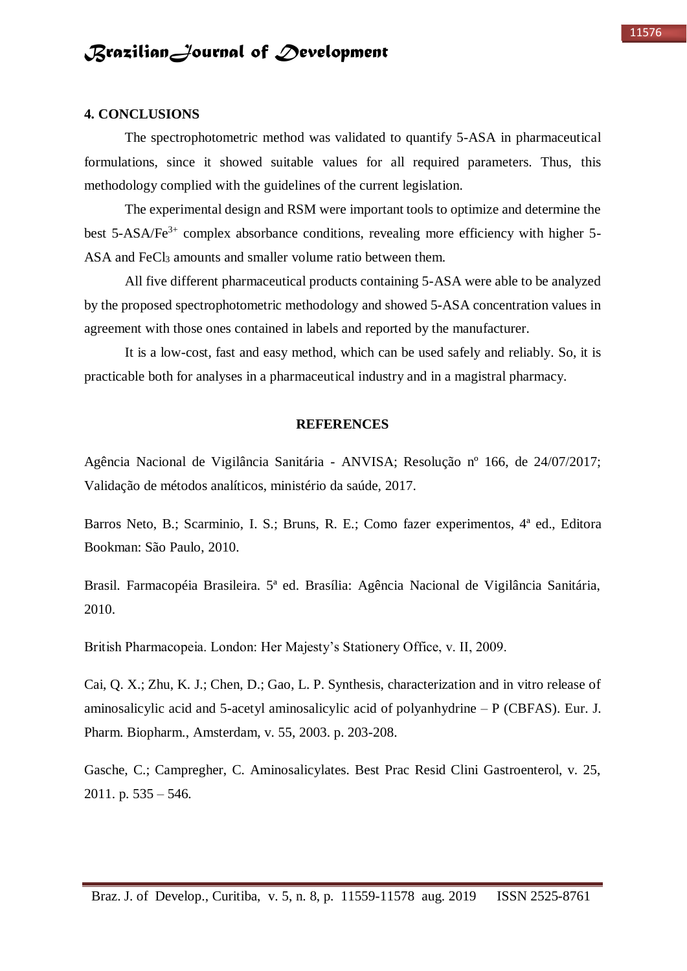#### **4. CONCLUSIONS**

The spectrophotometric method was validated to quantify 5-ASA in pharmaceutical formulations, since it showed suitable values for all required parameters. Thus, this methodology complied with the guidelines of the current legislation.

The experimental design and RSM were important tools to optimize and determine the best  $5-ASA/Fe<sup>3+</sup>$  complex absorbance conditions, revealing more efficiency with higher  $5-$ ASA and FeCl<sub>3</sub> amounts and smaller volume ratio between them.

All five different pharmaceutical products containing 5-ASA were able to be analyzed by the proposed spectrophotometric methodology and showed 5-ASA concentration values in agreement with those ones contained in labels and reported by the manufacturer.

It is a low-cost, fast and easy method, which can be used safely and reliably. So, it is practicable both for analyses in a pharmaceutical industry and in a magistral pharmacy.

#### **REFERENCES**

Agência Nacional de Vigilância Sanitária - ANVISA; Resolução nº 166, de 24/07/2017; Validação de métodos analíticos, ministério da saúde, 2017.

Barros Neto, B.; Scarminio, I. S.; Bruns, R. E.; Como fazer experimentos, 4ª ed., Editora Bookman: São Paulo, 2010.

Brasil. Farmacopéia Brasileira. 5ª ed. Brasília: Agência Nacional de Vigilância Sanitária, 2010.

British Pharmacopeia. London: Her Majesty's Stationery Office, v. II, 2009.

Cai, Q. X.; Zhu, K. J.; Chen, D.; Gao, L. P. Synthesis, characterization and in vitro release of aminosalicylic acid and 5-acetyl aminosalicylic acid of polyanhydrine – P (CBFAS). Eur. J. Pharm. Biopharm., Amsterdam, v. 55, 2003. p. 203-208.

Gasche, C.; Campregher, C. Aminosalicylates. Best Prac Resid Clini Gastroenterol, v. 25, 2011. p. 535 – 546.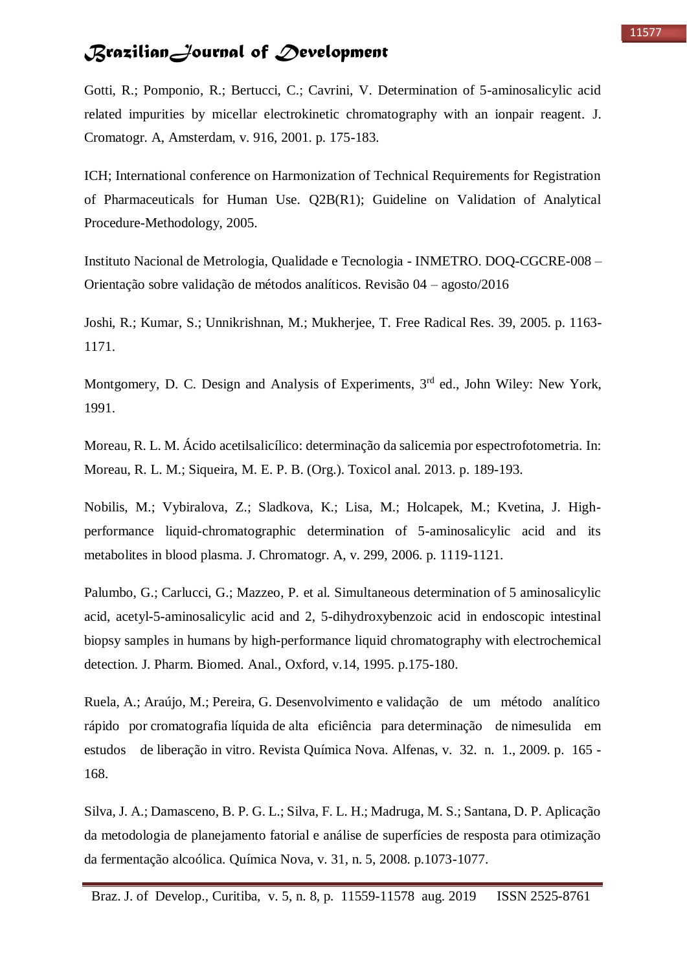Gotti, R.; Pomponio, R.; Bertucci, C.; Cavrini, V. Determination of 5-aminosalicylic acid related impurities by micellar electrokinetic chromatography with an ionpair reagent. J. Cromatogr. A, Amsterdam, v. 916, 2001. p. 175-183.

ICH; International conference on Harmonization of Technical Requirements for Registration of Pharmaceuticals for Human Use. Q2B(R1); Guideline on Validation of Analytical Procedure-Methodology, 2005.

Instituto Nacional de Metrologia, Qualidade e Tecnologia - INMETRO. DOQ-CGCRE-008 – Orientação sobre validação de métodos analíticos. Revisão 04 – agosto/2016

Joshi, R.; Kumar, S.; Unnikrishnan, M.; Mukherjee, T. Free Radical Res. 39, 2005. p. 1163- 1171.

Montgomery, D. C. Design and Analysis of Experiments, 3<sup>rd</sup> ed., John Wiley: New York, 1991.

Moreau, R. L. M. Ácido acetilsalicílico: determinação da salicemia por espectrofotometria. In: Moreau, R. L. M.; Siqueira, M. E. P. B. (Org.). Toxicol anal. 2013. p. 189-193.

Nobilis, M.; Vybiralova, Z.; Sladkova, K.; Lisa, M.; Holcapek, M.; Kvetina, J. Highperformance liquid-chromatographic determination of 5-aminosalicylic acid and its metabolites in blood plasma. J. Chromatogr. A, v. 299, 2006. p. 1119-1121.

Palumbo, G.; Carlucci, G.; Mazzeo, P. et al. Simultaneous determination of 5 aminosalicylic acid, acetyl-5-aminosalicylic acid and 2, 5-dihydroxybenzoic acid in endoscopic intestinal biopsy samples in humans by high-performance liquid chromatography with electrochemical detection. J. Pharm. Biomed. Anal., Oxford, v.14, 1995. p.175-180.

Ruela, A.; Araújo, M.; Pereira, G. Desenvolvimento e validação de um método analítico rápido por cromatografia líquida de alta eficiência para determinação de nimesulida em estudos de liberação in vitro. Revista Química Nova. Alfenas, v. 32. n. 1., 2009. p. 165 - 168.

Silva, J. A.; Damasceno, B. P. G. L.; Silva, F. L. H.; Madruga, M. S.; Santana, D. P. Aplicação da metodologia de planejamento fatorial e análise de superfícies de resposta para otimização da fermentação alcoólica. Química Nova, v. 31, n. 5, 2008. p.1073-1077.